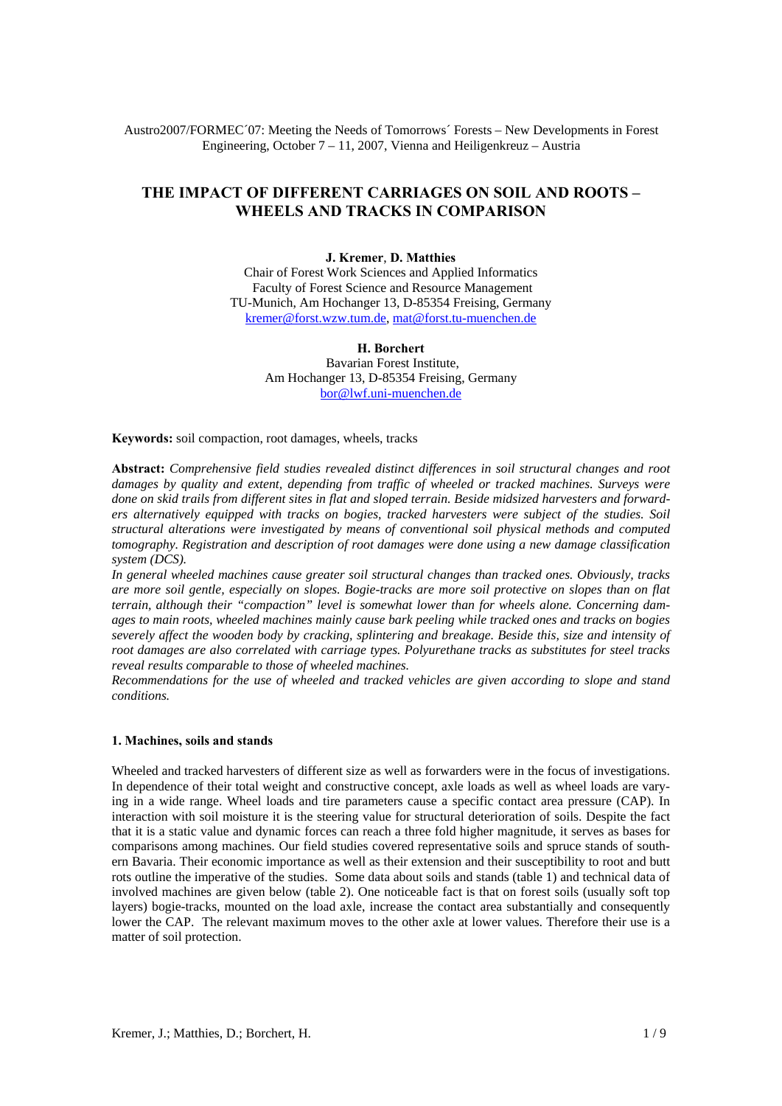Austro2007/FORMEC´07: Meeting the Needs of Tomorrows´ Forests – New Developments in Forest Engineering, October 7 – 11, 2007, Vienna and Heiligenkreuz – Austria

# **THE IMPACT OF DIFFERENT CARRIAGES ON SOIL AND ROOTS – WHEELS AND TRACKS IN COMPARISON**

#### **J. Kremer**, **D. Matthies**

Chair of Forest Work Sciences and Applied Informatics Faculty of Forest Science and Resource Management TU-Munich, Am Hochanger 13, D-85354 Freising, Germany kremer@forst.wzw.tum.de, mat@forst.tu-muenchen.de

### **H. Borchert** Bavarian Forest Institute, Am Hochanger 13, D-85354 Freising, Germany bor@lwf.uni-muenchen.de

**Keywords:** soil compaction, root damages, wheels, tracks

**Abstract:** *Comprehensive field studies revealed distinct differences in soil structural changes and root damages by quality and extent, depending from traffic of wheeled or tracked machines. Surveys were done on skid trails from different sites in flat and sloped terrain. Beside midsized harvesters and forwarders alternatively equipped with tracks on bogies, tracked harvesters were subject of the studies. Soil structural alterations were investigated by means of conventional soil physical methods and computed tomography. Registration and description of root damages were done using a new damage classification system (DCS).* 

*In general wheeled machines cause greater soil structural changes than tracked ones. Obviously, tracks are more soil gentle, especially on slopes. Bogie-tracks are more soil protective on slopes than on flat terrain, although their "compaction" level is somewhat lower than for wheels alone. Concerning damages to main roots, wheeled machines mainly cause bark peeling while tracked ones and tracks on bogies severely affect the wooden body by cracking, splintering and breakage. Beside this, size and intensity of root damages are also correlated with carriage types. Polyurethane tracks as substitutes for steel tracks reveal results comparable to those of wheeled machines.* 

*Recommendations for the use of wheeled and tracked vehicles are given according to slope and stand conditions.* 

### **1. Machines, soils and stands**

Wheeled and tracked harvesters of different size as well as forwarders were in the focus of investigations. In dependence of their total weight and constructive concept, axle loads as well as wheel loads are varying in a wide range. Wheel loads and tire parameters cause a specific contact area pressure (CAP). In interaction with soil moisture it is the steering value for structural deterioration of soils. Despite the fact that it is a static value and dynamic forces can reach a three fold higher magnitude, it serves as bases for comparisons among machines. Our field studies covered representative soils and spruce stands of southern Bavaria. Their economic importance as well as their extension and their susceptibility to root and butt rots outline the imperative of the studies. Some data about soils and stands (table 1) and technical data of involved machines are given below (table 2). One noticeable fact is that on forest soils (usually soft top layers) bogie-tracks, mounted on the load axle, increase the contact area substantially and consequently lower the CAP. The relevant maximum moves to the other axle at lower values. Therefore their use is a matter of soil protection.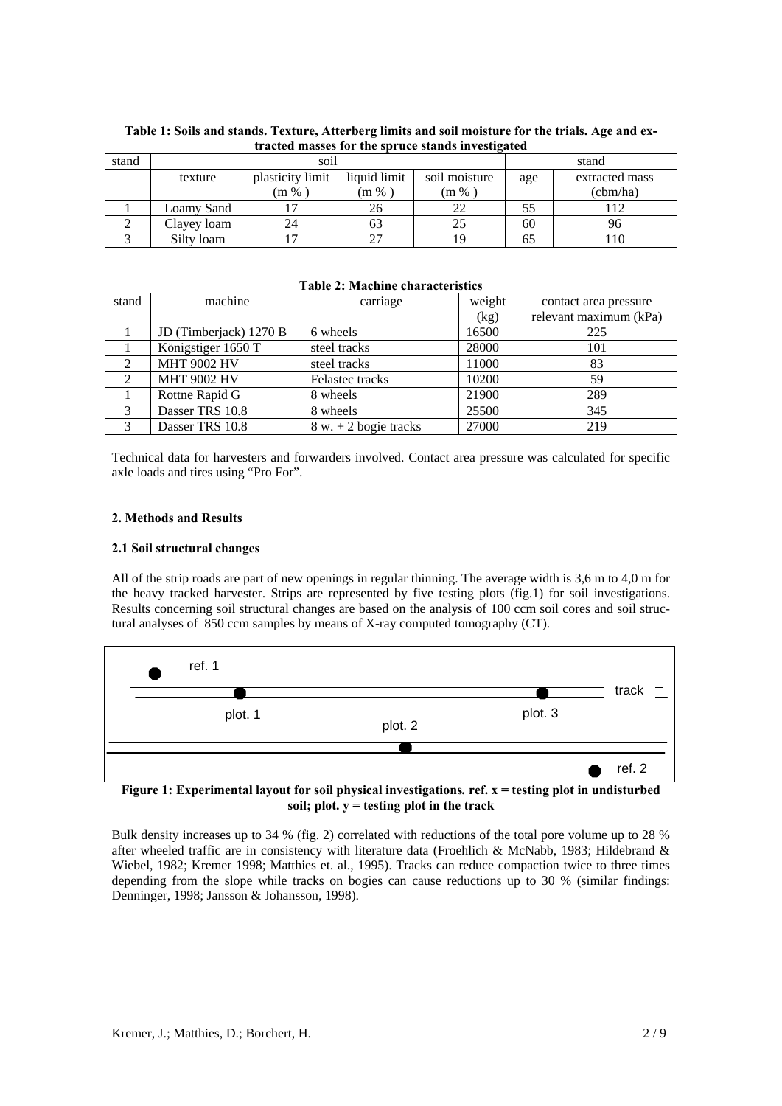| stand | soil        |                  |                     |               | stand |                |
|-------|-------------|------------------|---------------------|---------------|-------|----------------|
|       | texture     | plasticity limit | liquid limit        | soil moisture | age   | extracted mass |
|       |             | (m %             | $\rm{m}$ % $\rm{m}$ | $(m\,\%$      |       | (cbm/ha)       |
|       | Loamv Sand  |                  | 26                  | 22            | 55    | i 12           |
|       | Clayey loam | 24               |                     | 25            | 60    |                |
|       | Silty loam  |                  |                     | 19            | ნა    | l 10           |

**Table 1: Soils and stands. Texture, Atterberg limits and soil moisture for the trials. Age and extracted masses for the spruce stands investigated** 

## **Table 2: Machine characteristics**

| stand | machine                | carriage               | weight | contact area pressure  |
|-------|------------------------|------------------------|--------|------------------------|
|       |                        |                        | (kg)   | relevant maximum (kPa) |
|       | JD (Timberjack) 1270 B | 6 wheels               | 16500  | 225                    |
|       | Königstiger 1650 T     | steel tracks           | 28000  | 101                    |
|       | <b>MHT 9002 HV</b>     | steel tracks           | 11000  | 83                     |
| 2     | <b>MHT 9002 HV</b>     | Felastec tracks        | 10200  | 59                     |
|       | Rottne Rapid G         | 8 wheels               | 21900  | 289                    |
|       | Dasser TRS 10.8        | 8 wheels               | 25500  | 345                    |
| 3     | Dasser TRS 10.8        | $8 w + 2$ bogie tracks | 27000  | 219                    |

Technical data for harvesters and forwarders involved. Contact area pressure was calculated for specific axle loads and tires using "Pro For".

## **2. Methods and Results**

## **2.1 Soil structural changes**

All of the strip roads are part of new openings in regular thinning. The average width is 3,6 m to 4,0 m for the heavy tracked harvester. Strips are represented by five testing plots (fig.1) for soil investigations. Results concerning soil structural changes are based on the analysis of 100 ccm soil cores and soil structural analyses of 850 ccm samples by means of X-ray computed tomography (CT).



**Figure 1: Experimental layout for soil physical investigations***.* **ref. x = testing plot in undisturbed soil; plot. y = testing plot in the track** 

Bulk density increases up to 34 % (fig. 2) correlated with reductions of the total pore volume up to 28 % after wheeled traffic are in consistency with literature data (Froehlich & McNabb, 1983; Hildebrand & Wiebel, 1982; Kremer 1998; Matthies et. al., 1995). Tracks can reduce compaction twice to three times depending from the slope while tracks on bogies can cause reductions up to 30 % (similar findings: Denninger, 1998; Jansson & Johansson, 1998).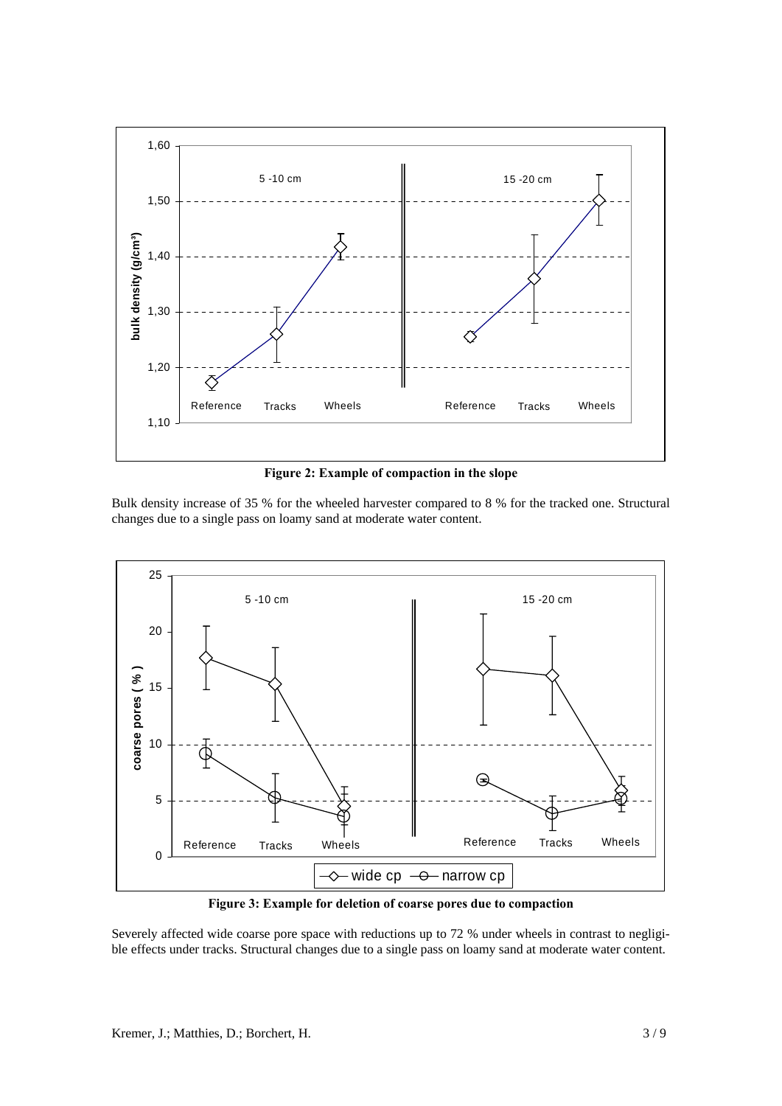

**Figure 2: Example of compaction in the slope**

Bulk density increase of 35 % for the wheeled harvester compared to 8 % for the tracked one. Structural changes due to a single pass on loamy sand at moderate water content.



**Figure 3: Example for deletion of coarse pores due to compaction** 

Severely affected wide coarse pore space with reductions up to 72 % under wheels in contrast to negligible effects under tracks. Structural changes due to a single pass on loamy sand at moderate water content.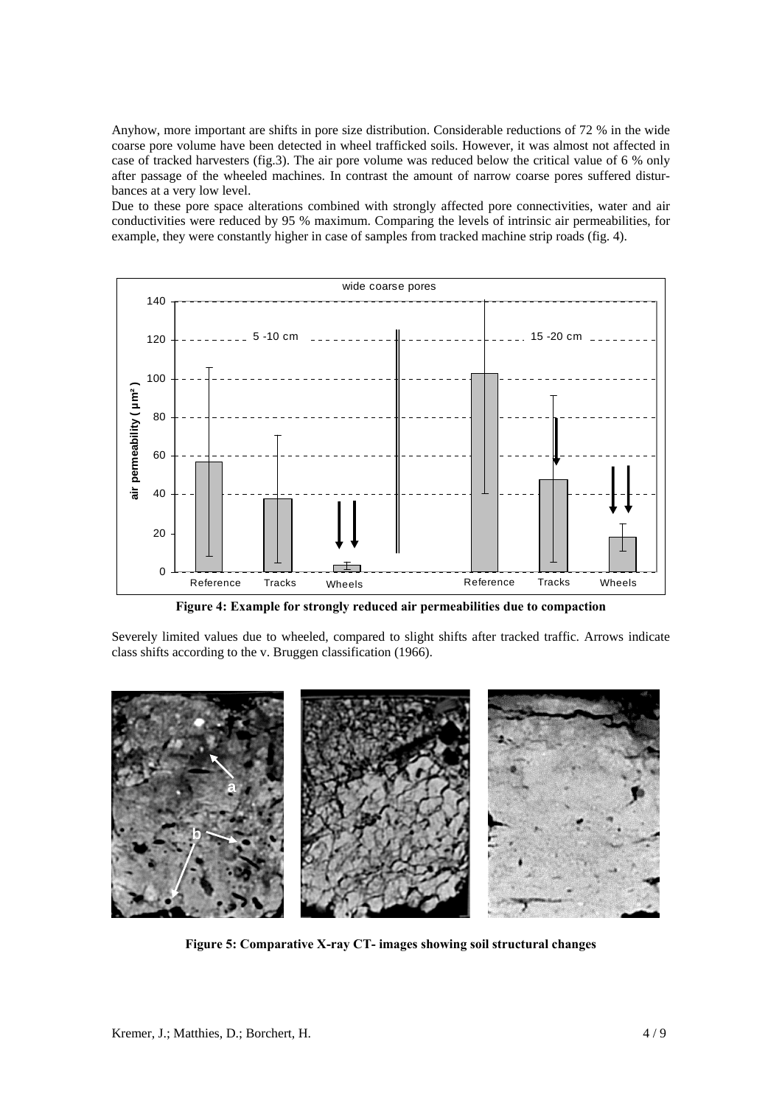Anyhow, more important are shifts in pore size distribution. Considerable reductions of 72 % in the wide coarse pore volume have been detected in wheel trafficked soils. However, it was almost not affected in case of tracked harvesters (fig.3). The air pore volume was reduced below the critical value of 6 % only after passage of the wheeled machines. In contrast the amount of narrow coarse pores suffered disturbances at a very low level.

Due to these pore space alterations combined with strongly affected pore connectivities, water and air conductivities were reduced by 95 % maximum. Comparing the levels of intrinsic air permeabilities, for example, they were constantly higher in case of samples from tracked machine strip roads (fig. 4).



**Figure 4: Example for strongly reduced air permeabilities due to compaction** 

Severely limited values due to wheeled, compared to slight shifts after tracked traffic. Arrows indicate class shifts according to the v. Bruggen classification (1966).



**Figure 5: Comparative X-ray CT- images showing soil structural changes**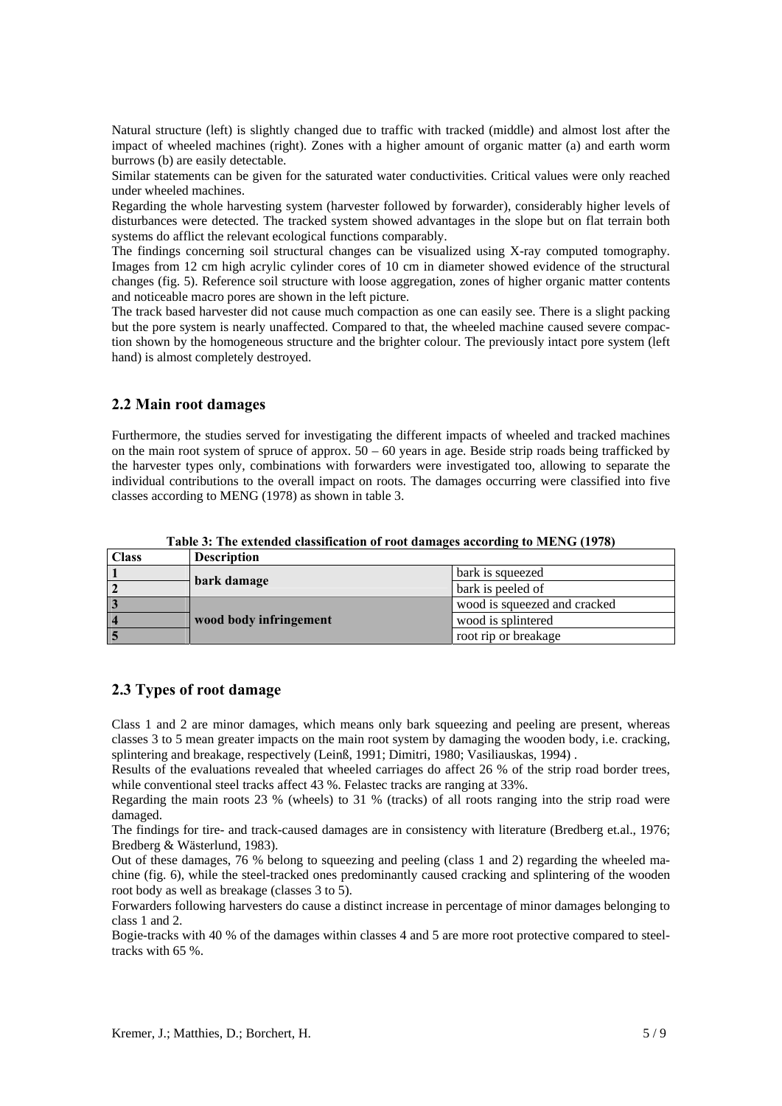Natural structure (left) is slightly changed due to traffic with tracked (middle) and almost lost after the impact of wheeled machines (right). Zones with a higher amount of organic matter (a) and earth worm burrows (b) are easily detectable.

Similar statements can be given for the saturated water conductivities. Critical values were only reached under wheeled machines.

Regarding the whole harvesting system (harvester followed by forwarder), considerably higher levels of disturbances were detected. The tracked system showed advantages in the slope but on flat terrain both systems do afflict the relevant ecological functions comparably.

The findings concerning soil structural changes can be visualized using X-ray computed tomography. Images from 12 cm high acrylic cylinder cores of 10 cm in diameter showed evidence of the structural changes (fig. 5). Reference soil structure with loose aggregation, zones of higher organic matter contents and noticeable macro pores are shown in the left picture.

The track based harvester did not cause much compaction as one can easily see. There is a slight packing but the pore system is nearly unaffected. Compared to that, the wheeled machine caused severe compaction shown by the homogeneous structure and the brighter colour. The previously intact pore system (left hand) is almost completely destroyed.

# **2.2 Main root damages**

Furthermore, the studies served for investigating the different impacts of wheeled and tracked machines on the main root system of spruce of approx.  $50 - 60$  years in age. Beside strip roads being trafficked by the harvester types only, combinations with forwarders were investigated too, allowing to separate the individual contributions to the overall impact on roots. The damages occurring were classified into five classes according to MENG (1978) as shown in table 3.

| <b>Class</b>   | <b>Description</b>     |                              |  |  |
|----------------|------------------------|------------------------------|--|--|
|                |                        | bark is squeezed             |  |  |
| $\overline{2}$ | bark damage            | bark is peeled of            |  |  |
| $\overline{3}$ |                        | wood is squeezed and cracked |  |  |
| $\vert$ 4      | wood body infringement | wood is splintered           |  |  |
| $\overline{5}$ |                        | root rip or breakage         |  |  |

**Table 3: The extended classification of root damages according to MENG (1978)** 

# **2.3 Types of root damage**

Class 1 and 2 are minor damages, which means only bark squeezing and peeling are present, whereas classes 3 to 5 mean greater impacts on the main root system by damaging the wooden body, i.e. cracking, splintering and breakage, respectively (Leinß, 1991; Dimitri, 1980; Vasiliauskas, 1994) .

Results of the evaluations revealed that wheeled carriages do affect 26 % of the strip road border trees, while conventional steel tracks affect 43 %. Felastec tracks are ranging at 33%.

Regarding the main roots 23 % (wheels) to 31 % (tracks) of all roots ranging into the strip road were damaged.

The findings for tire- and track-caused damages are in consistency with literature (Bredberg et.al., 1976; Bredberg & Wästerlund, 1983).

Out of these damages, 76 % belong to squeezing and peeling (class 1 and 2) regarding the wheeled machine (fig. 6), while the steel-tracked ones predominantly caused cracking and splintering of the wooden root body as well as breakage (classes 3 to 5).

Forwarders following harvesters do cause a distinct increase in percentage of minor damages belonging to class 1 and 2.

Bogie-tracks with 40 % of the damages within classes 4 and 5 are more root protective compared to steeltracks with 65 %.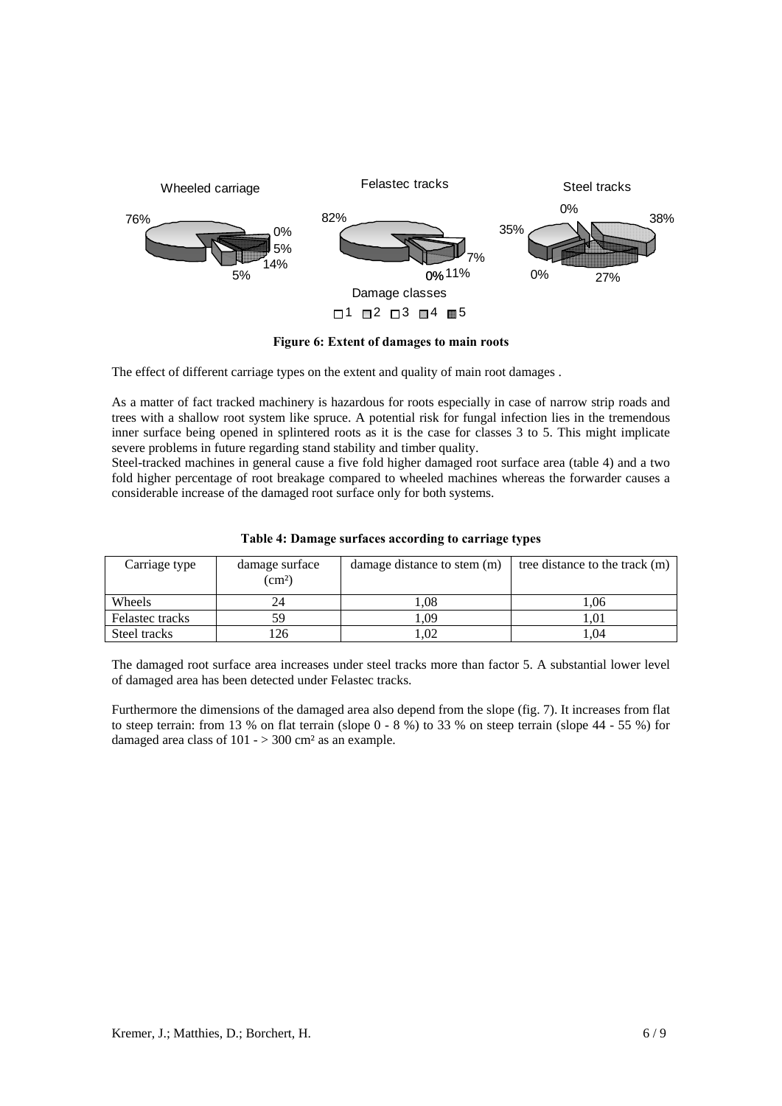

**Figure 6: Extent of damages to main roots** 

The effect of different carriage types on the extent and quality of main root damages .

As a matter of fact tracked machinery is hazardous for roots especially in case of narrow strip roads and trees with a shallow root system like spruce. A potential risk for fungal infection lies in the tremendous inner surface being opened in splintered roots as it is the case for classes 3 to 5. This might implicate severe problems in future regarding stand stability and timber quality.

Steel-tracked machines in general cause a five fold higher damaged root surface area (table 4) and a two fold higher percentage of root breakage compared to wheeled machines whereas the forwarder causes a considerable increase of the damaged root surface only for both systems.

| Carriage type   | damage surface<br>$\text{cm}^2$ ) | damage distance to stem (m) | tree distance to the track (m) |
|-----------------|-----------------------------------|-----------------------------|--------------------------------|
| Wheels          | 24                                | .08                         | .06                            |
| Felastec tracks | 59                                | .09                         | .01                            |
| Steel tracks    | 26                                | .02                         | .04                            |

|  |  | Table 4: Damage surfaces according to carriage types |
|--|--|------------------------------------------------------|
|  |  |                                                      |

The damaged root surface area increases under steel tracks more than factor 5. A substantial lower level of damaged area has been detected under Felastec tracks.

Furthermore the dimensions of the damaged area also depend from the slope (fig. 7). It increases from flat to steep terrain: from 13 % on flat terrain (slope  $0 - 8$  %) to 33 % on steep terrain (slope  $44 - 55$  %) for damaged area class of  $101 - > 300$  cm<sup>2</sup> as an example.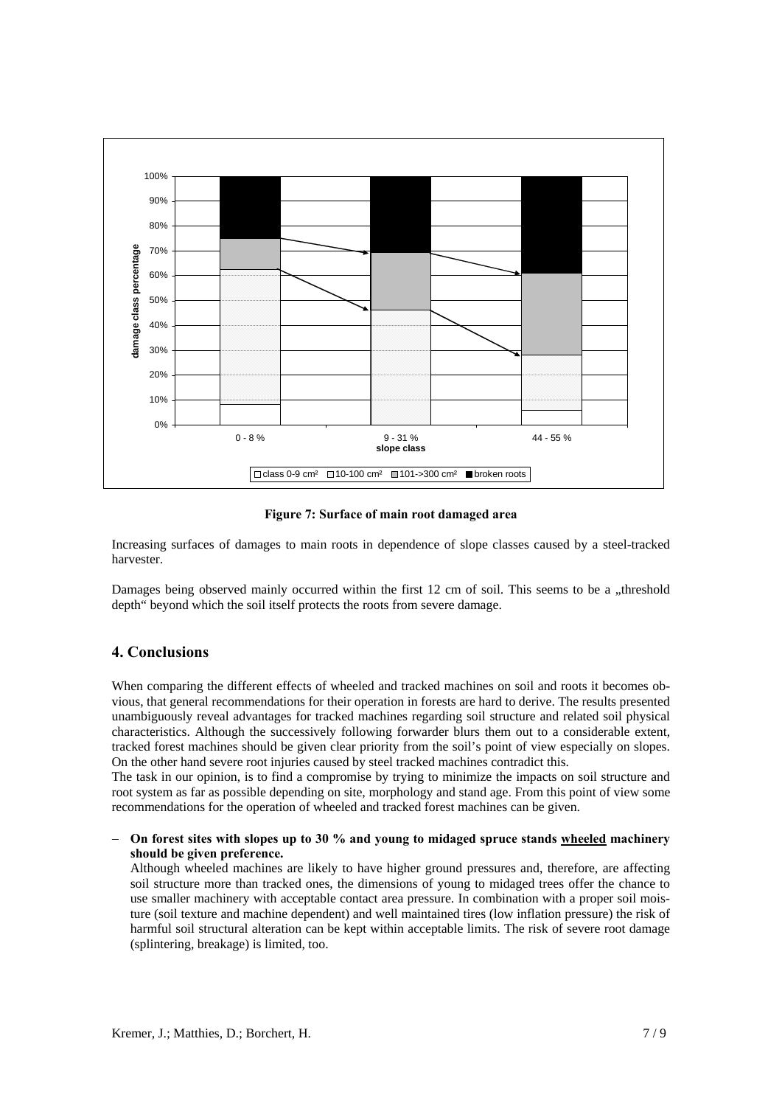

**Figure 7: Surface of main root damaged area** 

Increasing surfaces of damages to main roots in dependence of slope classes caused by a steel-tracked harvester.

Damages being observed mainly occurred within the first 12 cm of soil. This seems to be a "threshold depth" beyond which the soil itself protects the roots from severe damage.

# **4. Conclusions**

When comparing the different effects of wheeled and tracked machines on soil and roots it becomes obvious, that general recommendations for their operation in forests are hard to derive. The results presented unambiguously reveal advantages for tracked machines regarding soil structure and related soil physical characteristics. Although the successively following forwarder blurs them out to a considerable extent, tracked forest machines should be given clear priority from the soil's point of view especially on slopes. On the other hand severe root injuries caused by steel tracked machines contradict this.

The task in our opinion, is to find a compromise by trying to minimize the impacts on soil structure and root system as far as possible depending on site, morphology and stand age. From this point of view some recommendations for the operation of wheeled and tracked forest machines can be given.

− **On forest sites with slopes up to 30 % and young to midaged spruce stands wheeled machinery should be given preference.** 

Although wheeled machines are likely to have higher ground pressures and, therefore, are affecting soil structure more than tracked ones, the dimensions of young to midaged trees offer the chance to use smaller machinery with acceptable contact area pressure. In combination with a proper soil moisture (soil texture and machine dependent) and well maintained tires (low inflation pressure) the risk of harmful soil structural alteration can be kept within acceptable limits. The risk of severe root damage (splintering, breakage) is limited, too.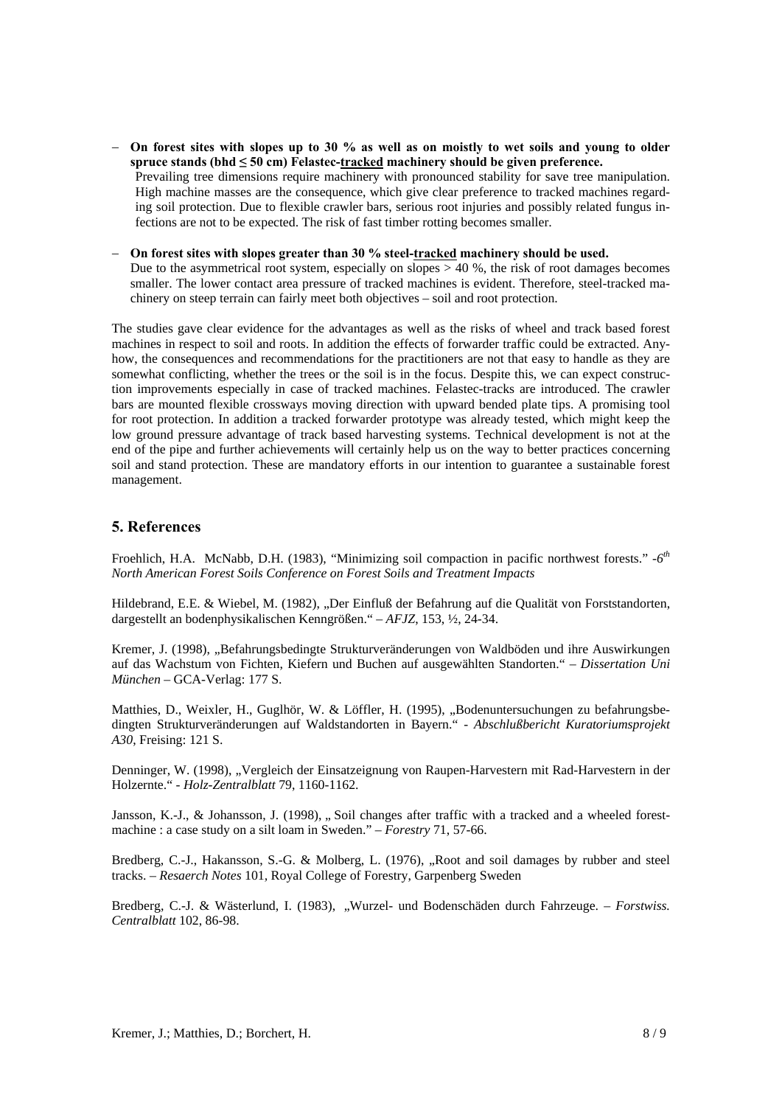- − **On forest sites with slopes up to 30 % as well as on moistly to wet soils and young to older spruce stands (bhd ≤ 50 cm) Felastec-tracked machinery should be given preference.**  Prevailing tree dimensions require machinery with pronounced stability for save tree manipulation. High machine masses are the consequence, which give clear preference to tracked machines regarding soil protection. Due to flexible crawler bars, serious root injuries and possibly related fungus infections are not to be expected. The risk of fast timber rotting becomes smaller.
- − **On forest sites with slopes greater than 30 % steel-tracked machinery should be used.** Due to the asymmetrical root system, especially on slopes  $> 40\%$ , the risk of root damages becomes smaller. The lower contact area pressure of tracked machines is evident. Therefore, steel-tracked machinery on steep terrain can fairly meet both objectives – soil and root protection.

The studies gave clear evidence for the advantages as well as the risks of wheel and track based forest machines in respect to soil and roots. In addition the effects of forwarder traffic could be extracted. Anyhow, the consequences and recommendations for the practitioners are not that easy to handle as they are somewhat conflicting, whether the trees or the soil is in the focus. Despite this, we can expect construction improvements especially in case of tracked machines. Felastec-tracks are introduced. The crawler bars are mounted flexible crossways moving direction with upward bended plate tips. A promising tool for root protection. In addition a tracked forwarder prototype was already tested, which might keep the low ground pressure advantage of track based harvesting systems. Technical development is not at the end of the pipe and further achievements will certainly help us on the way to better practices concerning soil and stand protection. These are mandatory efforts in our intention to guarantee a sustainable forest management.

# **5. References**

Froehlich, H.A. McNabb, D.H. (1983), "Minimizing soil compaction in pacific northwest forests." *-6th North American Forest Soils Conference on Forest Soils and Treatment Impacts* 

Hildebrand, E.E. & Wiebel, M. (1982), "Der Einfluß der Befahrung auf die Qualität von Forststandorten, dargestellt an bodenphysikalischen Kenngrößen." – *AFJZ*, 153, ½, 24-34.

Kremer, J. (1998), "Befahrungsbedingte Strukturveränderungen von Waldböden und ihre Auswirkungen auf das Wachstum von Fichten, Kiefern und Buchen auf ausgewählten Standorten." – *Dissertation Uni München* – GCA-Verlag: 177 S.

Matthies, D., Weixler, H., Guglhör, W. & Löffler, H. (1995), "Bodenuntersuchungen zu befahrungsbedingten Strukturveränderungen auf Waldstandorten in Bayern." - *Abschlußbericht Kuratoriumsprojekt A30*, Freising: 121 S.

Denninger, W. (1998), "Vergleich der Einsatzeignung von Raupen-Harvestern mit Rad-Harvestern in der Holzernte." - *Holz-Zentralblatt* 79, 1160-1162.

Jansson, K.-J., & Johansson, J. (1998), .. Soil changes after traffic with a tracked and a wheeled forestmachine : a case study on a silt loam in Sweden." – *Forestry* 71, 57-66.

Bredberg, C.-J., Hakansson, S.-G. & Molberg, L. (1976), "Root and soil damages by rubber and steel tracks. – *Resaerch Notes* 101*,* Royal College of Forestry, Garpenberg Sweden

Bredberg, C.-J. & Wästerlund, I. (1983), "Wurzel- und Bodenschäden durch Fahrzeuge. – *Forstwiss. Centralblatt* 102, 86-98.